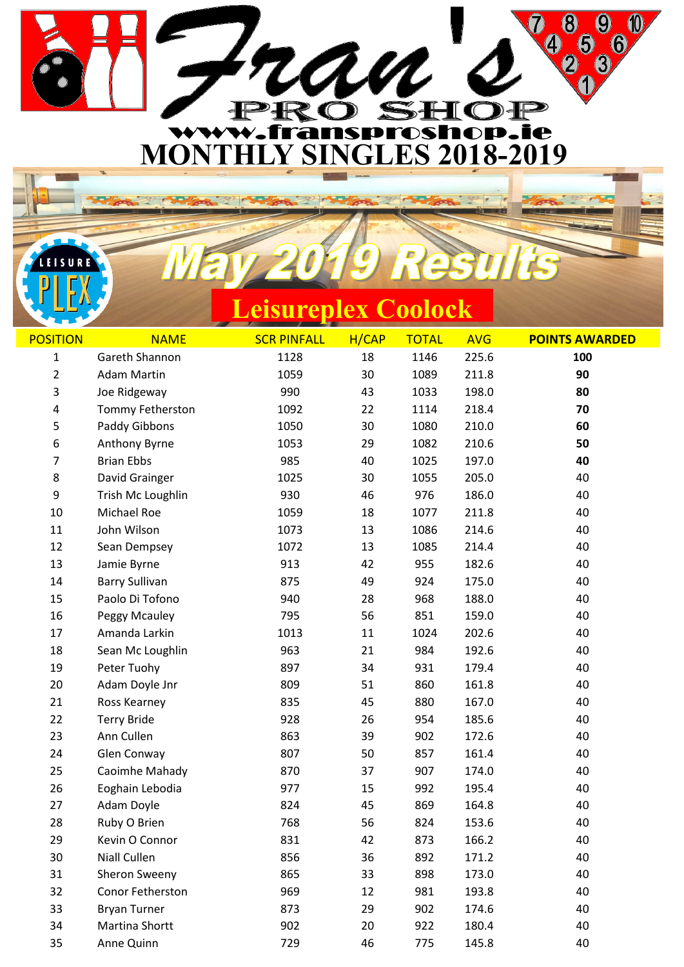

**Leisureplex Coolock**

LEISURE

| <b>POSITION</b>                                          | <b>NAME</b>                                                                                                                                                                 | <b>SCR PINFALL</b>                                                 | H/CAP                                                    | <b>TOTAL</b>                                                       | <b>AVG</b>                                                                             | <b>POINTS AWARDED</b>                                    |
|----------------------------------------------------------|-----------------------------------------------------------------------------------------------------------------------------------------------------------------------------|--------------------------------------------------------------------|----------------------------------------------------------|--------------------------------------------------------------------|----------------------------------------------------------------------------------------|----------------------------------------------------------|
| 1                                                        | Gareth Shannon                                                                                                                                                              | 1128                                                               | 18                                                       | 1146                                                               | 225.6                                                                                  | 100                                                      |
| $\overline{2}$                                           | <b>Adam Martin</b>                                                                                                                                                          | 1059                                                               | 30                                                       | 1089                                                               | 211.8                                                                                  | 90                                                       |
| 3                                                        | Joe Ridgeway                                                                                                                                                                | 990                                                                | 43                                                       | 1033                                                               | 198.0                                                                                  | 80                                                       |
| 4                                                        | Tommy Fetherston                                                                                                                                                            | 1092                                                               | 22                                                       | 1114                                                               | 218.4                                                                                  | 70                                                       |
| 5                                                        | Paddy Gibbons                                                                                                                                                               | 1050                                                               | 30                                                       | 1080                                                               | 210.0                                                                                  | 60                                                       |
| 6                                                        | Anthony Byrne                                                                                                                                                               | 1053                                                               | 29                                                       | 1082                                                               | 210.6                                                                                  | 50                                                       |
| 7                                                        | <b>Brian Ebbs</b>                                                                                                                                                           | 985                                                                | 40                                                       | 1025                                                               | 197.0                                                                                  | 40                                                       |
| 8                                                        | David Grainger                                                                                                                                                              | 1025                                                               | 30                                                       | 1055                                                               | 205.0                                                                                  | 40                                                       |
| 9                                                        | Trish Mc Loughlin                                                                                                                                                           | 930                                                                | 46                                                       | 976                                                                | 186.0                                                                                  | 40                                                       |
| 10                                                       | Michael Roe                                                                                                                                                                 | 1059                                                               | 18                                                       | 1077                                                               | 211.8                                                                                  | 40                                                       |
| 11                                                       | John Wilson                                                                                                                                                                 | 1073                                                               | 13                                                       | 1086                                                               | 214.6                                                                                  | 40                                                       |
| 12                                                       | Sean Dempsey                                                                                                                                                                | 1072                                                               | 13                                                       | 1085                                                               | 214.4                                                                                  | 40                                                       |
| 13                                                       | Jamie Byrne                                                                                                                                                                 | 913                                                                | 42                                                       | 955                                                                | 182.6                                                                                  | 40                                                       |
| 14                                                       | <b>Barry Sullivan</b>                                                                                                                                                       | 875                                                                | 49                                                       | 924                                                                | 175.0                                                                                  | 40                                                       |
| 15                                                       | Paolo Di Tofono                                                                                                                                                             | 940                                                                | 28                                                       | 968                                                                | 188.0                                                                                  | 40                                                       |
| 16                                                       | Peggy Mcauley                                                                                                                                                               | 795                                                                | 56                                                       | 851                                                                | 159.0                                                                                  | 40                                                       |
| 17                                                       | Amanda Larkin                                                                                                                                                               | 1013                                                               | 11                                                       | 1024                                                               | 202.6                                                                                  | 40                                                       |
| 18                                                       | Sean Mc Loughlin                                                                                                                                                            | 963                                                                | 21                                                       | 984                                                                | 192.6                                                                                  | 40                                                       |
| 19                                                       | Peter Tuohy                                                                                                                                                                 | 897                                                                | 34                                                       | 931                                                                | 179.4                                                                                  | 40                                                       |
| 20                                                       | Adam Doyle Jnr                                                                                                                                                              | 809                                                                | 51                                                       | 860                                                                | 161.8                                                                                  | 40                                                       |
| 21                                                       | Ross Kearney                                                                                                                                                                | 835                                                                | 45                                                       | 880                                                                | 167.0                                                                                  | 40                                                       |
| 22                                                       | <b>Terry Bride</b>                                                                                                                                                          | 928                                                                | 26                                                       | 954                                                                | 185.6                                                                                  | 40                                                       |
| 23                                                       | Ann Cullen                                                                                                                                                                  | 863                                                                | 39                                                       | 902                                                                | 172.6                                                                                  | 40                                                       |
| 24                                                       | Glen Conway                                                                                                                                                                 | 807                                                                | 50                                                       | 857                                                                | 161.4                                                                                  | 40                                                       |
| 25                                                       | Caoimhe Mahady                                                                                                                                                              | 870                                                                | 37                                                       | 907                                                                | 174.0                                                                                  | 40                                                       |
|                                                          |                                                                                                                                                                             |                                                                    |                                                          |                                                                    |                                                                                        |                                                          |
|                                                          |                                                                                                                                                                             |                                                                    |                                                          |                                                                    |                                                                                        |                                                          |
|                                                          |                                                                                                                                                                             |                                                                    |                                                          |                                                                    |                                                                                        |                                                          |
|                                                          |                                                                                                                                                                             |                                                                    |                                                          |                                                                    |                                                                                        |                                                          |
|                                                          |                                                                                                                                                                             |                                                                    |                                                          |                                                                    |                                                                                        |                                                          |
|                                                          |                                                                                                                                                                             |                                                                    |                                                          |                                                                    |                                                                                        |                                                          |
|                                                          |                                                                                                                                                                             |                                                                    |                                                          |                                                                    |                                                                                        |                                                          |
|                                                          |                                                                                                                                                                             |                                                                    |                                                          |                                                                    |                                                                                        |                                                          |
|                                                          |                                                                                                                                                                             |                                                                    |                                                          |                                                                    |                                                                                        |                                                          |
|                                                          |                                                                                                                                                                             |                                                                    |                                                          |                                                                    |                                                                                        |                                                          |
| 26<br>27<br>28<br>29<br>30<br>31<br>32<br>33<br>34<br>35 | Eoghain Lebodia<br>Adam Doyle<br>Ruby O Brien<br>Kevin O Connor<br>Niall Cullen<br>Sheron Sweeny<br>Conor Fetherston<br><b>Bryan Turner</b><br>Martina Shortt<br>Anne Quinn | 977<br>824<br>768<br>831<br>856<br>865<br>969<br>873<br>902<br>729 | 15<br>45<br>56<br>42<br>36<br>33<br>12<br>29<br>20<br>46 | 992<br>869<br>824<br>873<br>892<br>898<br>981<br>902<br>922<br>775 | 195.4<br>164.8<br>153.6<br>166.2<br>171.2<br>173.0<br>193.8<br>174.6<br>180.4<br>145.8 | 40<br>40<br>40<br>40<br>40<br>40<br>40<br>40<br>40<br>40 |